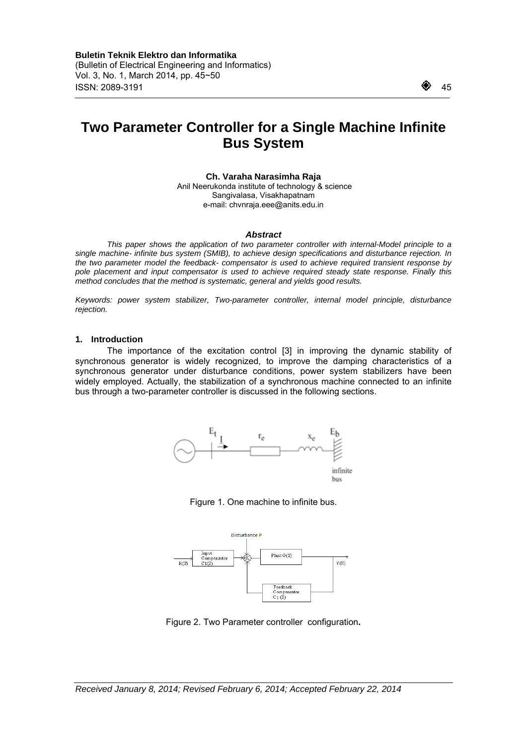$\overline{a}$ 

# **Two Parameter Controller for a Single Machine Infinite Bus System**

**Ch. Varaha Narasimha Raja** 

 Anil Neerukonda institute of technology & science Sangivalasa, Visakhapatnam e-mail: chvnraja.eee@anits.edu.in

#### *Abstract*

*This paper shows the application of two parameter controller with internal-Model principle to a single machine- infinite bus system (SMIB), to achieve design specifications and disturbance rejection. In the two parameter model the feedback- compensator is used to achieve required transient response by pole placement and input compensator is used to achieve required steady state response. Finally this method concludes that the method is systematic, general and yields good results.* 

*Keywords: power system stabilizer, Two-parameter controller, internal model principle, disturbance rejection.* 

#### **1. Introduction**

The importance of the excitation control [3] in improving the dynamic stability of synchronous generator is widely recognized, to improve the damping characteristics of a synchronous generator under disturbance conditions, power system stabilizers have been widely employed. Actually, the stabilization of a synchronous machine connected to an infinite bus through a two-parameter controller is discussed in the following sections.



Figure 1. One machine to infinite bus.



Figure 2. Two Parameter controller configuration**.**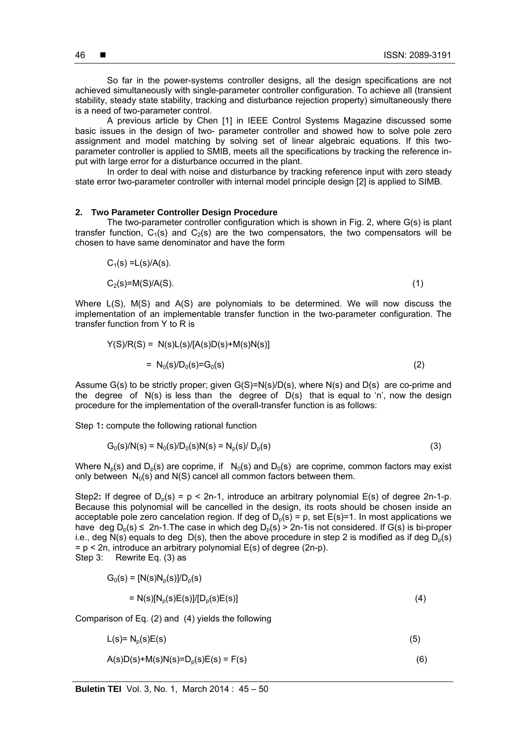is a need of two-parameter control. A previous article by Chen [1] in IEEE Control Systems Magazine discussed some basic issues in the design of two- parameter controller and showed how to solve pole zero assignment and model matching by solving set of linear algebraic equations. If this twoparameter controller is applied to SMIB, meets all the specifications by tracking the reference input with large error for a disturbance occurred in the plant.

In order to deal with noise and disturbance by tracking reference input with zero steady state error two-parameter controller with internal model principle design [2] is applied to SIMB.

#### **2. Two Parameter Controller Design Procedure**

The two-parameter controller configuration which is shown in Fig. 2, where G(s) is plant transfer function,  $C_1(s)$  and  $C_2(s)$  are the two compensators, the two compensators will be chosen to have same denominator and have the form

$$
C_1(s) = L(s)/A(s).
$$
  
\n
$$
C_2(s) = M(S)/A(S).
$$
\n(1)

Where L(S), M(S) and A(S) are polynomials to be determined. We will now discuss the implementation of an implementable transfer function in the two-parameter configuration. The transfer function from Y to R is

$$
Y(S)/R(S) = N(s)L(s)/[A(s)D(s)+M(s)N(s)]
$$
  
= N<sub>0</sub>(s)/D<sub>0</sub>(s)=G<sub>0</sub>(s) (2)

Assume G(s) to be strictly proper; given G(S)=N(s)/D(s), where N(s) and D(s) are co-prime and the degree of  $N(s)$  is less than the degree of  $D(s)$  that is equal to 'n', now the design procedure for the implementation of the overall-transfer function is as follows:

Step 1**:** compute the following rational function

$$
G_0(s)/N(s) = N_0(s)/D_0(s)N(s) = N_p(s)/D_p(s)
$$
\n(3)

Where N<sub>o</sub>(s) and D<sub>o</sub>(s) are coprime, if  $N_0(s)$  and D<sub>0</sub>(s) are coprime, common factors may exist only between  $N_0(s)$  and N(S) cancel all common factors between them.

Step2: If degree of  $D_0(s) = p < 2n-1$ , introduce an arbitrary polynomial E(s) of degree 2n-1-p. Because this polynomial will be cancelled in the design, its roots should be chosen inside an acceptable pole zero cancelation region. If deg of  $D_p(s) = p$ , set  $E(s)=1$ . In most applications we have deg  $D_n(s) \leq 2n-1$ . The case in which deg  $D_n(s) > 2n-1$  is not considered. If G(s) is bi-proper i.e., deg  $N(s)$  equals to deg  $D(s)$ , then the above procedure in step 2 is modified as if deg  $D<sub>n</sub>(s)$  $= p < 2n$ , introduce an arbitrary polynomial  $E(s)$  of degree (2n-p). Step 3: Rewrite Eq. (3) as

$$
G_0(s) = [N(s)N_p(s)]/D_p(s)
$$
  
= N(s)[N\_p(s)E(s)]/[D\_p(s)E(s)] (4)

Comparison of Eq. (2) and (4) yields the following

$$
L(s) = N_p(s)E(s)
$$
\n<sup>(5)</sup>

$$
A(s)D(s)+M(s)N(s)=D_p(s)E(s)=F(s)
$$
\n(6)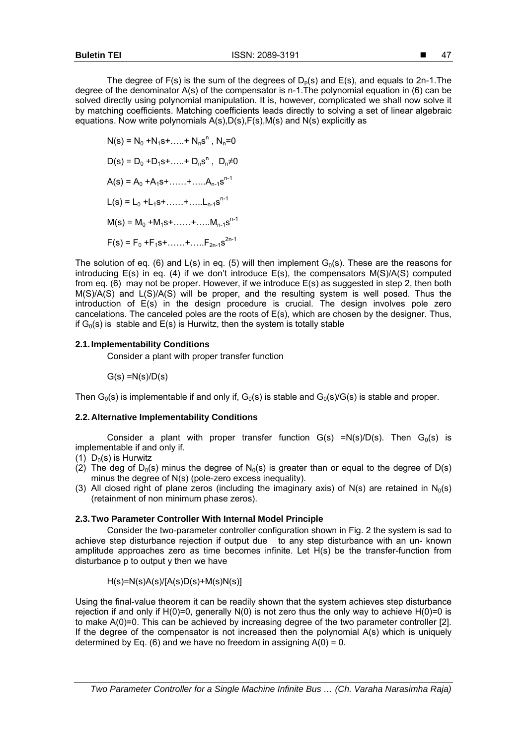The degree of  $F(s)$  is the sum of the degrees of  $D_p(s)$  and  $E(s)$ , and equals to 2n-1. The degree of the denominator A(s) of the compensator is n-1.The polynomial equation in (6) can be solved directly using polynomial manipulation. It is, however, complicated we shall now solve it by matching coefficients. Matching coefficients leads directly to solving a set of linear algebraic equations. Now write polynomials A(s),D(s),F(s),M(s) and N(s) explicitly as

 $N(s) = N_0 + N_1 s + \ldots + N_n s^n$ ,  $N_n = 0$  $D(s) = D_0 + D_1 s + \dots + D_n s^n$ ,  $D_n \neq 0$  $A(s) = A_0 + A_1s + \ldots + A_{n-1}s^{n-1}$  $L(s) = L_0 + L_1 s + \dots + \dots + L_{n-1} s^{n-1}$  $M(s) = M_0 + M_1 s + \ldots + \ldots + M_{n-1} s^{n-1}$  $F(s) = F_0 + F_1s + \ldots + \ldots + F_{2n-1}s^{2n-1}$ 

The solution of eq. (6) and  $L(s)$  in eq. (5) will then implement  $G_0(s)$ . These are the reasons for introducing  $E(s)$  in eq. (4) if we don't introduce  $E(s)$ , the compensators  $M(S)/A(S)$  computed from eq. (6) may not be proper. However, if we introduce E(s) as suggested in step 2, then both M(S)/A(S) and L(S)/A(S) will be proper, and the resulting system is well posed. Thus the introduction of E(s) in the design procedure is crucial. The design involves pole zero cancelations. The canceled poles are the roots of E(s), which are chosen by the designer. Thus, if  $G_0(s)$  is stable and  $E(s)$  is Hurwitz, then the system is totally stable

# **2.1. Implementability Conditions**

Consider a plant with proper transfer function

$$
G(s) = N(s)/D(s)
$$

Then  $G<sub>0</sub>(s)$  is implementable if and only if,  $G<sub>0</sub>(s)$  is stable and  $G<sub>0</sub>(s)/G(s)$  is stable and proper.

# **2.2. Alternative Implementability Conditions**

Consider a plant with proper transfer function  $G(s) = N(s)/D(s)$ . Then  $G_0(s)$  is implementable if and only if.

- (1)  $D_0(s)$  is Hurwitz
- (2) The deg of  $D_0(s)$  minus the degree of  $N_0(s)$  is greater than or equal to the degree of  $D(s)$ minus the degree of N(s) (pole-zero excess inequality).
- (3) All closed right of plane zeros (including the imaginary axis) of N(s) are retained in  $N_0(s)$ (retainment of non minimum phase zeros).

# **2.3. Two Parameter Controller With Internal Model Principle**

Consider the two-parameter controller configuration shown in Fig. 2 the system is sad to achieve step disturbance rejection if output due to any step disturbance with an un- known amplitude approaches zero as time becomes infinite. Let H(s) be the transfer-function from disturbance p to output y then we have

$$
H(s)=N(s)A(s)/[A(s)D(s)+M(s)N(s)]
$$

Using the final-value theorem it can be readily shown that the system achieves step disturbance rejection if and only if  $H(0)=0$ , generally  $N(0)$  is not zero thus the only way to achieve  $H(0)=0$  is to make A(0)=0. This can be achieved by increasing degree of the two parameter controller [2]. If the degree of the compensator is not increased then the polynomial A(s) which is uniquely determined by Eq. (6) and we have no freedom in assigning  $A(0) = 0$ .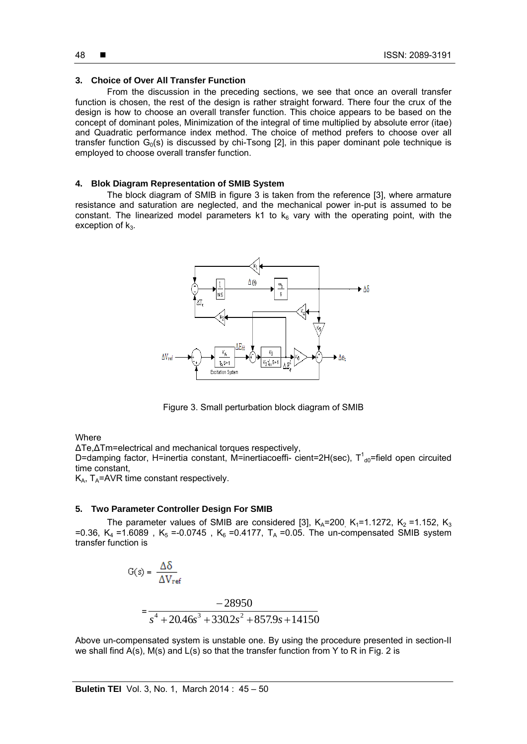# **3. Choice of Over All Transfer Function**

From the discussion in the preceding sections, we see that once an overall transfer function is chosen, the rest of the design is rather straight forward. There four the crux of the design is how to choose an overall transfer function. This choice appears to be based on the concept of dominant poles, Minimization of the integral of time multiplied by absolute error (itae) and Quadratic performance index method. The choice of method prefers to choose over all transfer function  $G_0(s)$  is discussed by chi-Tsong [2], in this paper dominant pole technique is employed to choose overall transfer function.

#### **4. Blok Diagram Representation of SMIB System**

The block diagram of SMIB in figure 3 is taken from the reference [3], where armature resistance and saturation are neglected, and the mechanical power in-put is assumed to be constant. The linearized model parameters k1 to  $k_6$  vary with the operating point, with the exception of  $k_3$ .



Figure 3. Small perturbation block diagram of SMIB

**Where** 

∆Te,∆Tm=electrical and mechanical torques respectively,

D=damping factor, H=inertia constant, M=inertiacoeffi- cient=2H(sec),  $T^1_{\text{d0}}$ =field open circuited time constant,

 $K_A$ ,  $T_A$ =AVR time constant respectively.

# **5. Two Parameter Controller Design For SMIB**

The parameter values of SMIB are considered [3],  $K_A$ =200,  $K_1$ =1.1272,  $K_2$  =1.152,  $K_3$ =0.36,  $K_4$  =1.6089,  $K_5$  =-0.0745,  $K_6$  =0.4177,  $T_A$  =0.05. The un-compensated SMIB system transfer function is

$$
G(s) = \frac{\Delta \delta}{\Delta V_{ref}}
$$
  
= 
$$
\frac{-28950}{s^4 + 20.46s^3 + 330.2s^2 + 857.9s + 14150}
$$

Above un-compensated system is unstable one. By using the procedure presented in section-II we shall find  $A(s)$ ,  $M(s)$  and  $L(s)$  so that the transfer function from Y to R in Fig. 2 is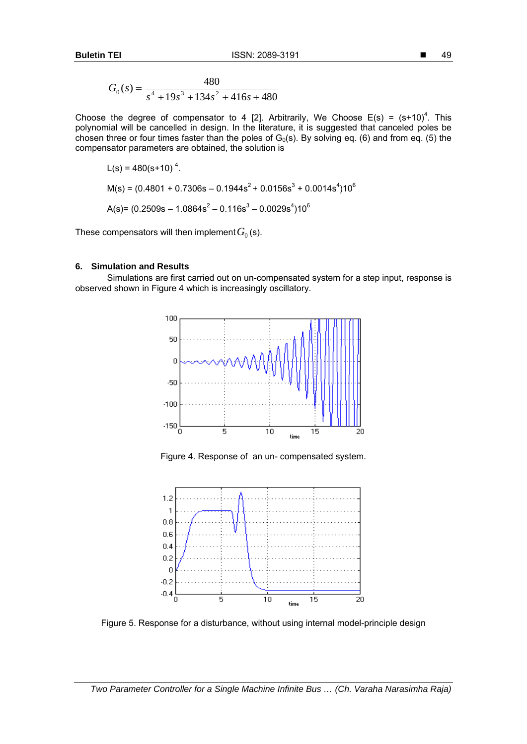$$
G_0(s) = \frac{480}{s^4 + 19s^3 + 134s^2 + 416s + 480}
$$

Choose the degree of compensator to 4 [2]. Arbitrarily, We Choose  $E(s) = (s+10)^4$ . This polynomial will be cancelled in design. In the literature, it is suggested that canceled poles be chosen three or four times faster than the poles of  $G_0(s)$ . By solving eq. (6) and from eq. (5) the compensator parameters are obtained, the solution is

$$
L(s) = 480(s+10)^{4}.
$$
  
\n
$$
M(s) = (0.4801 + 0.7306s - 0.1944s^{2} + 0.0156s^{3} + 0.0014s^{4})10^{6}
$$
  
\n
$$
A(s) = (0.2509s - 1.0864s^{2} - 0.116s^{3} - 0.0029s^{4})10^{6}
$$

These compensators will then implement  $G_0$  (s).

# **6. Simulation and Results**

Simulations are first carried out on un-compensated system for a step input, response is observed shown in Figure 4 which is increasingly oscillatory.



Figure 4. Response of an un- compensated system.



Figure 5. Response for a disturbance, without using internal model-principle design